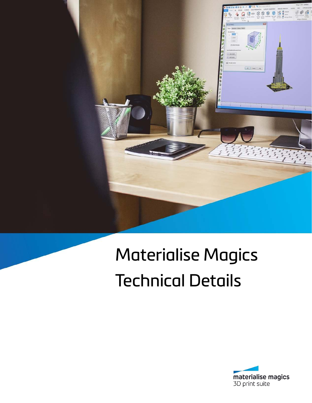

# Materialise Magics Technical Details

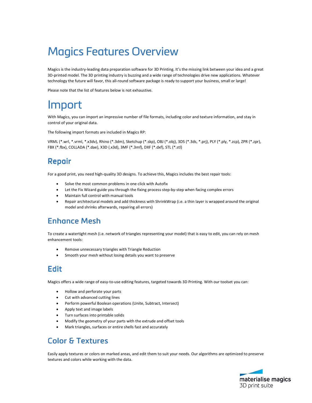# Magics Features Overview

Magics is the industry-leading data preparation software for 3D Printing. It's the missing link between your idea and a great 3D-printed model. The 3D printing industry is buzzing and a wide range of technologies drive new applications. Whatever technology the future will favor, this all-round software package is ready to support your business, small or large!

Please note that the list of features below is not exhaustive.

## Import

With Magics, you can import an impressive number of file formats, including color and texture information, and stay in control of your original data.

The following import formats are included in Magics RP:

VRML (\*.wrl, \*.vrml, \*.x3dv), Rhino (\*.3dm), Sketchup (\*.skp), OBJ (\*.obj), 3DS (\*.3ds, \*.prj), PLY (\*.ply, \*.zcp), ZPR (\*.zpr), FBX (\*.fbx), COLLADA (\*.dae), X3D (.x3d), 3MF (\*.3mf), DXF (\*.dxf), STL (\*.stl)

## Repair

For a good print, you need high-quality 3D designs. To achieve this, Magics includes the best repair tools:

- Solve the most common problems in one click with Autofix
- Let the Fix Wizard guide you through the fixing process step-by-step when facing complex errors
- Maintain full control with manual tools
- Repair architectural models and add thickness with ShrinkWrap (i.e. a thin layer is wrapped around the original model and shrinks afterwards, repairing all errors)

#### **Enhance Mesh**

To create a watertight mesh (i.e. network of triangles representing your model) that is easy to edit, you can rely on mesh enhancement tools:

- Remove unnecessary triangles with Triangle Reduction
- Smooth your mesh without losing details you want to preserve

#### Edit

Magics offers a wide range of easy-to-use editing features, targeted towards 3D Printing. With our toolset you can:

- Hollow and perforate your parts
- Cut with advanced cutting lines
- Perform powerful Boolean operations (Unite, Subtract, Intersect)
- Apply text and image labels
- Turn surfaces into printable solids
- Modify the geometry of your parts with the extrude and offset tools
- Mark triangles, surfaces or entire shells fast and accurately

#### Color & Textures

Easily apply textures or colors on marked areas, and edit them to suit your needs. Our algorithms are optimized to preserve textures and colors while working with the data.

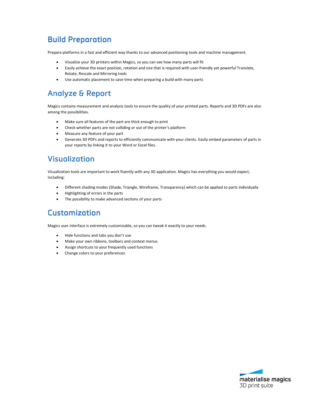## **Build Preparation**

Prepare platforms in a fast and efficient way thanks to our advanced positioning tools and machine management.

- Visualize your 3D printers within Magics, so you can see how many parts will fit
- Easily achieve the exact position, rotation and size that is required with user-friendly yet powerful Translate, Rotate, Rescale and Mirroring tools
- Use automatic placement to save time when preparing a build with many parts

#### Analyze & Report

Magics contains measurement and analysis tools to ensure the quality of your printed parts. Reports and 3D PDFs are also among the possibilities.

- Make sure all features of the part are thick enough to print
- Check whether parts are not colliding or out of the printer's platform
- Measure any feature of your part
- Generate 3D PDFs and reports to efficiently communicate with your clients. Easily embed parameters of parts in your reports by linking it to your Word or Excel files.

### Visualization

Visualization tools are important to work fluently with any 3D application. Magics has everything you would expect, including:

- Different shading modes (Shade, Triangle, Wireframe, Transparency) which can be applied to parts individually
- Highlighting of errors in the parts
- The possibility to make advanced sections of your parts

#### Customization

Magics user interface is extremely customizable, so you can tweak it exactly to your needs.

- Hide functions and tabs you don't use
- Make your own ribbons, toolbars and context menus
- Assign shortcuts to your frequently used functions
- Change colors to your preferences